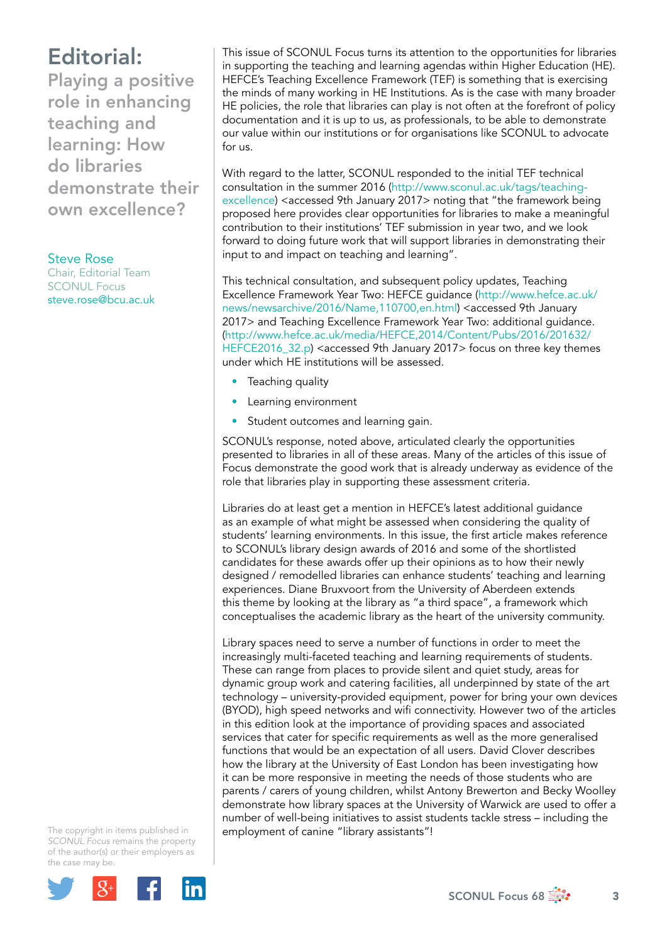## Editorial:

Playing a positive role in enhancing teaching and learning: How do libraries demonstrate their own excellence?

## Steve Rose

Chair, Editorial Team SCONUL Focus [steve.rose@bcu.ac.uk](mailto:steve.rose@bcu.ac.uk)

This issue of SCONUL Focus turns its attention to the opportunities for libraries in supporting the teaching and learning agendas within Higher Education (HE). HEFCE's Teaching Excellence Framework (TEF) is something that is exercising the minds of many working in HE Institutions. As is the case with many broader HE policies, the role that libraries can play is not often at the forefront of policy documentation and it is up to us, as professionals, to be able to demonstrate our value within our institutions or for organisations like SCONUL to advocate for us.

With regard to the latter, SCONUL responded to the initial TEF technical consultation in the summer 2016 ([http://www.sconul.ac.uk/tags/teaching](http://www.sconul.ac.uk/tags/teaching-excellence)[excellence](http://www.sconul.ac.uk/tags/teaching-excellence)) <accessed 9th January 2017> noting that "the framework being proposed here provides clear opportunities for libraries to make a meaningful contribution to their institutions' TEF submission in year two, and we look forward to doing future work that will support libraries in demonstrating their input to and impact on teaching and learning".

This technical consultation, and subsequent policy updates, Teaching Excellence Framework Year Two: HEFCE guidance [\(http://www.hefce.ac.uk/](http://www.hefce.ac.uk/news/newsarchive/2016/Name,110700,en.html) [news/newsarchive/2016/Name,110700,en.html](http://www.hefce.ac.uk/news/newsarchive/2016/Name,110700,en.html)) <accessed 9th January 2017> and Teaching Excellence Framework Year Two: additional guidance. [\(http://www.hefce.ac.uk/media/HEFCE,2014/Content/Pubs/2016/201632/](http://www.hefce.ac.uk/media/HEFCE,2014/Content/Pubs/2016/201632/HEFCE2016_32.p) [HEFCE2016\\_32.p](http://www.hefce.ac.uk/media/HEFCE,2014/Content/Pubs/2016/201632/HEFCE2016_32.p)) <accessed 9th January 2017> focus on three key themes under which HE institutions will be assessed.

- Teaching quality
- Learning environment
- Student outcomes and learning gain.

SCONUL's response, noted above, articulated clearly the opportunities presented to libraries in all of these areas. Many of the articles of this issue of Focus demonstrate the good work that is already underway as evidence of the role that libraries play in supporting these assessment criteria.

Libraries do at least get a mention in HEFCE's latest additional guidance as an example of what might be assessed when considering the quality of students' learning environments. In this issue, the first article makes reference to SCONUL's library design awards of 2016 and some of the shortlisted candidates for these awards offer up their opinions as to how their newly designed / remodelled libraries can enhance students' teaching and learning experiences. Diane Bruxvoort from the University of Aberdeen extends this theme by looking at the library as "a third space", a framework which conceptualises the academic library as the heart of the university community.

Library spaces need to serve a number of functions in order to meet the increasingly multi-faceted teaching and learning requirements of students. These can range from places to provide silent and quiet study, areas for dynamic group work and catering facilities, all underpinned by state of the art technology – university-provided equipment, power for bring your own devices (BYOD), high speed networks and wifi connectivity. However two of the articles in this edition look at the importance of providing spaces and associated services that cater for specific requirements as well as the more generalised functions that would be an expectation of all users. David Clover describes how the library at the University of East London has been investigating how it can be more responsive in meeting the needs of those students who are parents / carers of young children, whilst Antony Brewerton and Becky Woolley demonstrate how library spaces at the University of Warwick are used to offer a number of well-being initiatives to assist students tackle stress – including the employment of canine "library assistants"!

The copyright in items published in *SCONUL Focus* remains the property of the author(s) or their employers as the case may be.

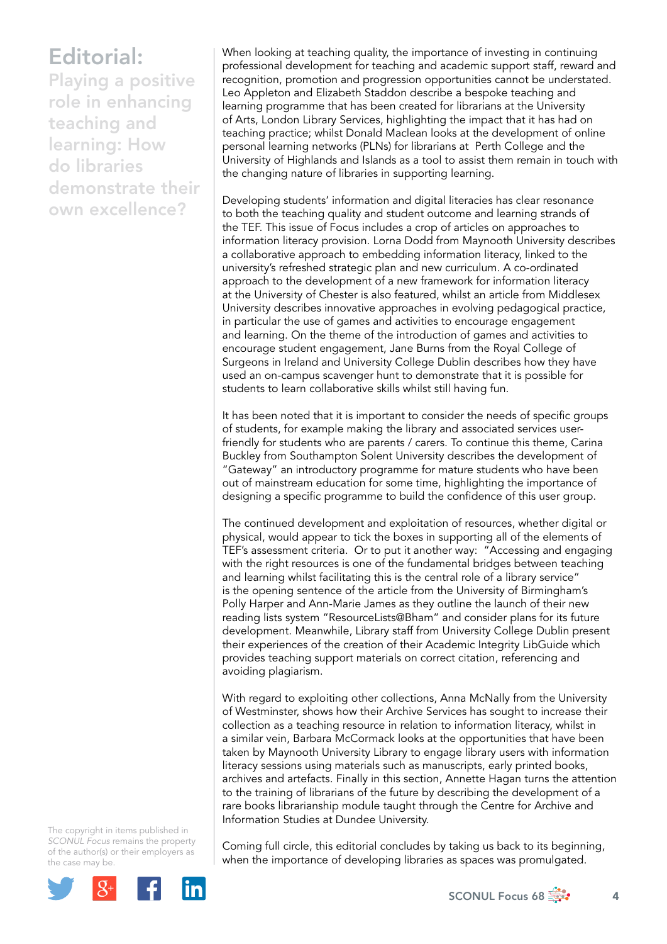## Editorial:

Playing a positive role in enhancing teaching and learning: How do libraries demonstrate their own excellence?

When looking at teaching quality, the importance of investing in continuing professional development for teaching and academic support staff, reward and recognition, promotion and progression opportunities cannot be understated. Leo Appleton and Elizabeth Staddon describe a bespoke teaching and learning programme that has been created for librarians at the University of Arts, London Library Services, highlighting the impact that it has had on teaching practice; whilst Donald Maclean looks at the development of online personal learning networks (PLNs) for librarians at Perth College and the University of Highlands and Islands as a tool to assist them remain in touch with the changing nature of libraries in supporting learning.

Developing students' information and digital literacies has clear resonance to both the teaching quality and student outcome and learning strands of the TEF. This issue of Focus includes a crop of articles on approaches to information literacy provision. Lorna Dodd from Maynooth University describes a collaborative approach to embedding information literacy, linked to the university's refreshed strategic plan and new curriculum. A co-ordinated approach to the development of a new framework for information literacy at the University of Chester is also featured, whilst an article from Middlesex University describes innovative approaches in evolving pedagogical practice, in particular the use of games and activities to encourage engagement and learning. On the theme of the introduction of games and activities to encourage student engagement, Jane Burns from the Royal College of Surgeons in Ireland and University College Dublin describes how they have used an on-campus scavenger hunt to demonstrate that it is possible for students to learn collaborative skills whilst still having fun.

It has been noted that it is important to consider the needs of specific groups of students, for example making the library and associated services userfriendly for students who are parents / carers. To continue this theme, Carina Buckley from Southampton Solent University describes the development of "Gateway" an introductory programme for mature students who have been out of mainstream education for some time, highlighting the importance of designing a specific programme to build the confidence of this user group.

The continued development and exploitation of resources, whether digital or physical, would appear to tick the boxes in supporting all of the elements of TEF's assessment criteria. Or to put it another way: "Accessing and engaging with the right resources is one of the fundamental bridges between teaching and learning whilst facilitating this is the central role of a library service" is the opening sentence of the article from the University of Birmingham's Polly Harper and Ann-Marie James as they outline the launch of their new reading lists system "ResourceLists@Bham" and consider plans for its future development. Meanwhile, Library staff from University College Dublin present their experiences of the creation of their Academic Integrity LibGuide which provides teaching support materials on correct citation, referencing and avoiding plagiarism.

With regard to exploiting other collections, Anna McNally from the University of Westminster, shows how their Archive Services has sought to increase their collection as a teaching resource in relation to information literacy, whilst in a similar vein, Barbara McCormack looks at the opportunities that have been taken by Maynooth University Library to engage library users with information literacy sessions using materials such as manuscripts, early printed books, archives and artefacts. Finally in this section, Annette Hagan turns the attention to the training of librarians of the future by describing the development of a rare books librarianship module taught through the Centre for Archive and Information Studies at Dundee University.

The copyright in items published in *SCONUL Focus* remains the property of the author(s) or their employers as the case may be.



Coming full circle, this editorial concludes by taking us back to its beginning, when the importance of developing libraries as spaces was promulgated.